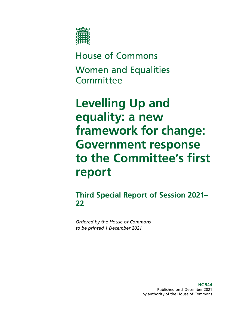

House of Commons Women and Equalities **Committee** 

# **Levelling Up and equality: a new framework for change: Government response to the Committee's first report**

**Third Special Report of Session 2021– 22**

*Ordered by the House of Commons to be printed 1 December 2021*

> **HC 944** Published on 2 December 2021 by authority of the House of Commons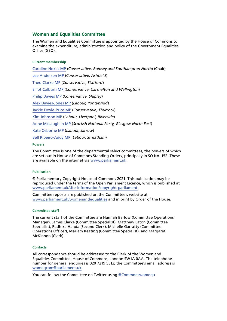#### **Women and Equalities Committee**

The Women and Equalities Committee is appointed by the House of Commons to examine the expenditure, administration and policy of the Government Equalities Office (GEO).

#### **Current membership**

[Caroline Nokes MP](https://members.parliament.uk/member/4048/contact) (*Conservative, Romsey and Southampton North*) (Chair) [Lee Anderson MP](https://members.parliament.uk/member/4743/contact) (*Conservative, Ashfield*) [Theo Clarke MP](https://members.parliament.uk/member/4819/contact) (*Conservative, Stafford*) [Elliot Colburn MP](https://members.parliament.uk/member/4775/contact) (*Conservative, Carshalton and Wallington*) [Philip Davies MP](https://members.parliament.uk/member/1565/contact) (*Conservative, Shipley*) [Alex Davies-Jones MP](https://members.parliament.uk/member/4849/contact) (*Labour, Pontypridd*) [Jackie Doyle-Price MP](https://members.parliament.uk/member/4065/contact) (*Conservative, Thurrock*) [Kim Johnson MP](https://members.parliament.uk/member/4824/contact) (*Labour, Liverpool, Riverside*) [Anne McLaughlin MP](https://members.parliament.uk/member/4437/contact) (*Scottish National Party, Glasgow North East*) [Kate Osborne MP](https://members.parliament.uk/member/4783/contact) (*Labour, Jarrow*) [Bell Ribeiro-Addy MP](https://members.parliament.uk/member/4764/contact) (*Labour, Streatham*)

#### **Powers**

The Committee is one of the departmental select committees, the powers of which are set out in House of Commons Standing Orders, principally in SO No. 152. These are available on the internet via [www.parliament.uk.](http://www.parliament.uk/)

#### **Publication**

© Parliamentary Copyright House of Commons 2021. This publication may be reproduced under the terms of the Open Parliament Licence, which is published at [www.parliament.uk/site-information/copyright-parliament.](https://www.parliament.uk/site-information/copyright-parliament/)

Committee reports are published on the Committee's website at [www.parliament.uk/womenandequalities](http://www.parliament.uk/womenandequalities) and in print by Order of the House.

#### **Committee staff**

The current staff of the Committee are Hannah Barlow (Committee Operations Manager), James Clarke (Committee Specialist), Matthew Eaton (Committee Specialist), Radhika Handa (Second Clerk), Michelle Garratty (Committee Operations Officer), Mariam Keating (Committee Specialist), and Margaret McKinnon (Clerk).

#### **Contacts**

All correspondence should be addressed to the Clerk of the Women and Equalities Committee, House of Commons, London SW1A 0AA. The telephone number for general enquiries is 020 7219 5513; the Committee's email address is [womeqcom@parliament.uk.](mailto:womeqcom%40parliament.uk?subject=)

You can follow the Committee on Twitter using [@Commonswomequ.](https://twitter.com/Commonswomequ)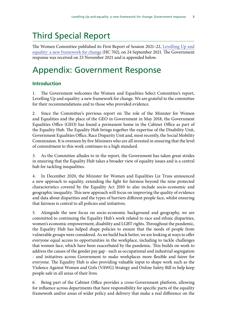# Third Special Report

The Women Committee published its First Report of Session 2021–22, [Levelling Up and](https://publications.parliament.uk/pa/cm5802/cmselect/cmwomeq/702/70202.htm) [equality: a new framework for change](https://publications.parliament.uk/pa/cm5802/cmselect/cmwomeq/702/70202.htm) (HC 702), on 24 September 2021. The Government response was received on 23 November 2021 and is appended below.

# Appendix: Government Response

# **Introduction**

1. The Government welcomes the Women and Equalities Select Committee's report, Levelling Up and equality: a new framework for change. We are grateful to the committee for their recommendations and to those who provided evidence.

2. Since the Committee's previous report on The role of the Minister for Women and Equalities and the place of the GEO in Government in May 2018, the Government Equalities Office (GEO) has found a permanent home in the Cabinet Office as part of the Equality Hub. The Equality Hub brings together the expertise of the Disability Unit, Government Equalities Office, Race Disparity Unit and, most recently, the Social Mobility Commission. It is overseen by five Ministers who are all invested in ensuring that the level of commitment to this work continues to a high standard.

3. As the Committee alludes to in the report, the Government has taken great strides in ensuring that the Equality Hub takes a broader view of equality issues and is a central hub for tackling inequalities.

4. In December 2020, the Minister for Women and Equalities Liz Truss announced a new approach to equality, extending the fight for fairness beyond the nine protected characteristics covered by the Equality Act 2010 to also include socio-economic and geographic inequality. This new approach will focus on improving the quality of evidence and data about disparities and the types of barriers different people face, whilst ensuring that fairness is central to all policies and initiatives.

5. Alongside the new focus on socio-economic background and geography, we are committed to continuing the Equality Hub's work related to race and ethnic disparities, women's economic empowerment, disability and LGBT rights. Throughout the pandemic, the Equality Hub has helped shape policies to ensure that the needs of people from vulnerable groups were considered. As we build back better, we are looking at ways to offer everyone equal access to opportunities in the workplace, including to tackle challenges that women face, which have been exacerbated by the pandemic. This builds on work to address the causes of the gender pay gap - such as occupational and industrial segregation - and initiatives across Government to make workplaces more flexible and fairer for everyone. The Equality Hub is also providing valuable input to shape work such as the Violence Against Women and Girls (VAWG) Strategy and Online Safety Bill to help keep people safe in all areas of their lives.

6. Being part of the Cabinet Office provides a cross-Government platform, allowing for influence across departments that have responsibility for specific parts of the equality framework and/or areas of wider policy and delivery that make a real difference on the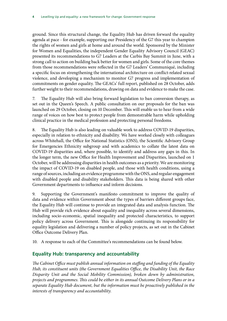ground. Since this structural change, the Equality Hub has driven forward the equality agenda at pace - for example, supporting our Presidency of the G7 this year to champion the rights of women and girls at home and around the world. Sponsored by the Minister for Women and Equalities, the independent Gender Equality Advisory Council (GEAC) presented its recommendations to G7 Leaders at the Carbis Bay Summit in June, with a strong call to action on building back better for women and girls. Some of the core themes from those recommendations were reflected in the G7 Leaders' Communiqué, including a specific focus on strengthening the international architecture on conflict-related sexual violence, and developing a mechanism to monitor G7 progress and implementation of commitments on gender equality. The GEACs' full report, published on 28 October, adds further weight to their recommendations, drawing on data and evidence to make the case.

7. The Equality Hub will also bring forward legislation to ban conversion therapy, as set out in the Queen's Speech. A public consultation on our proposals for the ban was launched on 29 October, closing on 10 December. This will enable us to hear from a wide range of voices on how best to protect people from demonstrable harm while upholding clinical practice in the medical profession and protecting personal freedoms.

8. The Equality Hub is also leading on valuable work to address COVID-19 disparities, especially in relation to ethnicity and disability. We have worked closely with colleagues across Whitehall, the Office for National Statistics (ONS), the Scientific Advisory Group for Emergencies Ethnicity subgroup and with academics to collate the latest data on COVID-19 disparities and, where possible, to identify and address any gaps in this. In the longer term, the new Office for Health Improvement and Disparities, launched on 1 October, will be addressing disparities in health outcomes as a priority. We are monitoring the impact of COVID-19 on disabled people, and those with health conditions, using a range of sources, including an evidence programme with the ONS, and regular engagement with disabled people and disability stakeholders. This data is being shared with other Government departments to influence and inform decisions.

9. Supporting the Government's manifesto commitment to improve the quality of data and evidence within Government about the types of barriers different groups face, the Equality Hub will continue to provide an integrated data and analysis function. The Hub will provide rich evidence about equality and inequality across several dimensions, including socio-economic, spatial inequality and protected characteristics, to support policy delivery across Government. This is alongside continuing its responsibility for equality legislation and delivering a number of policy projects, as set out in the Cabinet Office Outcome Delivery Plan.

10. A response to each of the Committee's recommendations can be found below.

# **Equality Hub: transparency and accountability**

*The Cabinet Office must publish annual information on staffing and funding of the Equality Hub, its constituent units (the Government Equalities Office, the Disability Unit, the Race Disparity Unit and the Social Mobility Commission), broken down by administration, projects and programmes. This could be either in its annual Outcome Delivery Plans or in a separate Equality Hub document, but the information must be proactively published in the interests of transparency and accountability.*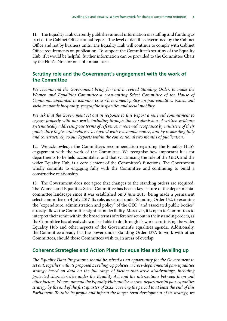11. The Equality Hub currently publishes annual information on staffing and funding as part of the Cabinet Office annual report. The level of detail is determined by the Cabinet Office and not by business units. The Equality Hub will continue to comply with Cabinet Office requirements on publication. To support the Committee's scrutiny of the Equality Hub, if it would be helpful, further information can be provided to the Committee Chair by the Hub's Director on a bi-annual basis.

## **Scrutiny role and the Government's engagement with the work of the Committee**

*We recommend the Government bring forward a revised Standing Order, to make the*  Women and Equalities Committee a cross-cutting Select Committee of the House of *Commons, appointed to examine cross-Government policy on pan-equalities issues, and socio-economic inequality, geographic disparities and social mobility.*

*We ask that the Government set out in response to this Report a renewed commitment to engage properly with our work, including through timely submission of written evidence systematically addressing our terms of reference, a renewed acceptance by ministers of their public duty to give oral evidence as invited with reasonable notice, and by responding fully and constructively to our Reports within the conventional two months of publication.*

12. We acknowledge the Committee's recommendation regarding the Equality Hub's engagement with the work of the Committee. We recognise how important it is for departments to be held accountable, and that scrutinising the role of the GEO, and the wider Equality Hub, is a core element of the Committee's functions. The Government wholly commits to engaging fully with the Committee and continuing to build a constructive relationship.

13. The Government does not agree that changes to the standing orders are required. The Women and Equalities Select Committee has been a key feature of the departmental committee landscape since it was established on 3 June 2015, being made a permanent select committee on 4 July 2017. Its role, as set out under Standing Order 152, to examine the "expenditure, administration and policy" of the GEO "and associated public bodies" already allows the Committee significant flexibility. Moreover, it is open to Committees to interpret their remit within the broad terms of reference set out in their standing orders, as the Committee has already shown itself able to do through its work scrutinising the wider Equality Hub and other aspects of the Government's equalities agenda. Additionally, the Committee already has the power under Standing Order 137A to work with other Committees, should those Committees wish to, in areas of overlap.

### **Coherent Strategies and Action Plans for equalities and levelling up**

*The Equality Data Programme should be seized as an opportunity for the Government to set out, together with its proposed Levelling Up policies, a cross-departmental pan-equalities strategy based on data on the full range of factors that drive disadvantage, including protected characteristics under the Equality Act and the intersections between them and other factors. We recommend the Equality Hub publish a cross-departmental pan-equalities strategy by the end of the first quarter of 2022, covering the period to at least the end of this Parliament. To raise its profile and inform the longer-term development of its strategy, we*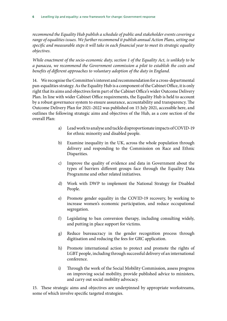*recommend the Equality Hub publish a schedule of public and stakeholder events covering a range of equalities issues. We further recommend it publish annual Action Plans, setting out specific and measurable steps it will take in each financial year to meet its strategic equality objectives.*

*While enactment of the socio-economic duty, section 1 of the Equality Act, is unlikely to be a panacea, we recommend the Government commission a pilot to establish the costs and benefits of different approaches to voluntary adoption of the duty in England.*

14. We recognise the Committee's interest and recommendation for a cross-departmental pan-equalities strategy. As the Equality Hub is a component of the Cabinet Office, it is only right that its aims and objectives form part of the Cabinet Office's wider Outcome Delivery Plan. In line with wider Cabinet Office requirements, the Equality Hub is held to account by a robust governance system to ensure assurance, accountability and transparency. The Outcome Delivery Plan for 2021–2022 was published on 15 July 2021, accessible [here,](https://www.gov.uk/government/publications/cabinet-office-outcome-delivery-plan/cabinet-office-outcome-delivery-plan-2021-to-2022) and outlines the following strategic aims and objectives of the Hub, as a core section of the overall Plan:

- a) Lead work to analyse and tackle disproportionate impacts of COVID-19 for ethnic minority and disabled people.
- b) Examine inequality in the UK, across the whole population through delivery and responding to the Commission on Race and Ethnic Disparities.
- c) Improve the quality of evidence and data in Government about the types of barriers different groups face through the Equality Data Programme and other related initiatives.
- d) Work with DWP to implement the National Strategy for Disabled People.
- e) Promote gender equality in the COVID-19 recovery, by working to increase women's economic participation, and reduce occupational segregation.
- f) Legislating to ban conversion therapy, including consulting widely, and putting in place support for victims.
- g) Reduce bureaucracy in the gender recognition process through digitisation and reducing the fees for GRC application.
- h) Promote international action to protect and promote the rights of LGBT people, including through successful delivery of an international conference.
- i) Through the work of the Social Mobility Commission, assess progress on improving social mobility, provide published advice to ministers, and carry out social mobility advocacy.

15. These strategic aims and objectives are underpinned by appropriate workstreams, some of which involve specific targeted strategies.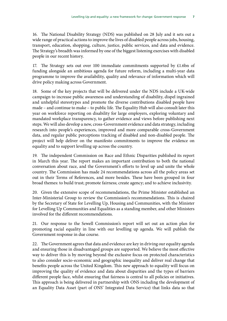16. The National Disability Strategy (NDS) was published on 28 July and it sets out a wide range of practical actions to improve the lives of disabled people across jobs, housing, transport, education, shopping, culture, justice, public services, and data and evidence. The Strategy's breadth was informed by one of the biggest listening exercises with disabled people in our recent history.

17. The Strategy sets out over 100 immediate commitments supported by £1.6bn of funding alongside an ambitious agenda for future reform, including a multi-year data programme to improve the availability, quality and relevance of information which will drive policy making across Government.

18. Some of the key projects that will be delivered under the NDS include a UK-wide campaign to increase public awareness and understanding of disability, dispel ingrained and unhelpful stereotypes and promote the diverse contributions disabled people have made – and continue to make – to public life. The Equality Hub will also consult later this year on workforce reporting on disability for large employers, exploring voluntary and mandated workplace transparency, to gather evidence and views before publishing next steps. We will also develop a new, cross-Government evidence and data strategy, including research into people's experiences, improved and more comparable cross-Government data, and regular public perceptions tracking of disabled and non-disabled people. The project will help deliver on the manifesto commitments to improve the evidence on equality and to support levelling up across the country.

19. The independent Commission on Race and Ethnic Disparities published its report in March this year. The report makes an important contribution to both the national conversation about race, and the Government's efforts to level up and unite the whole country. The Commission has made 24 recommendations across all the policy areas set out in their Terms of References, and more besides. These have been grouped in four broad themes: to build trust; promote fairness; create agency; and to achieve inclusivity.

20. Given the extensive scope of recommendations, the Prime Minister established an Inter-Ministerial Group to review the Commission's recommendations. This is chaired by the Secretary of State for Levelling Up, Housing and Communities, with the Minister for Levelling Up Communities and Equalities as a standing member, and other Ministers involved for the different recommendations.

21. Our response to the Sewell Commission's report will set out an action plan for promoting racial equality in line with our levelling up agenda. We will publish the Government response in due course.

22. The Government agrees that data and evidence are key in driving our equality agenda and ensuring those in disadvantaged groups are supported. We believe the most effective way to deliver this is by moving beyond the exclusive focus on protected characteristics to also consider socio-economic and geographic inequality and deliver real change that benefits people across the United Kingdom. This new approach to equality will focus on improving the quality of evidence and data about disparities and the types of barriers different people face, whilst ensuring that fairness is central to all policies or initiatives. This approach is being delivered in partnership with ONS including the development of an Equality Data Asset (part of ONS' Integrated Data Service) that links data so that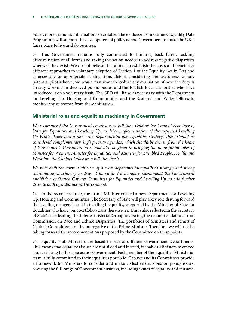better, more granular, information is available. The evidence from our new Equality Data Programme will support the development of policy across Government to make the UK a fairer place to live and do business.

23. This Government remains fully committed to building back fairer, tackling discrimination of all forms and taking the action needed to address negative disparities wherever they exist. We do not believe that a pilot to establish the costs and benefits of different approaches to voluntary adoption of Section 1 of the Equality Act in England is necessary or appropriate at this time. Before considering the usefulness of any potential pilot scheme, we would first want to look at any evaluation of how the duty is already working in devolved public bodies and the English local authorities who have introduced it on a voluntary basis. The GEO will liaise as necessary with the Department for Levelling Up, Housing and Communities and the Scotland and Wales Offices to monitor any outcomes from these initiatives.

#### **Ministerial roles and equalities machinery in Government**

We recommend the Government create a new full-time Cabinet level role of Secretary of *State for Equalities and Levelling Up, to drive implementation of the expected Levelling Up White Paper and a new cross-departmental pan-equalities strategy. These should be considered complementary, high priority agendas, which should be driven from the heart of Government. Consideration should also be given to bringing the more junior roles of Minister for Women, Minister for Equalities and Minister for Disabled People, Health and Work into the Cabinet Office on a full-time basis.*

*We note both the current absence of a cross-departmental equalities strategy and strong coordinating machinery to drive it forward. We therefore recommend the Government*  establish a dedicated Cabinet Committee for Equalities and Levelling Up, to add further *drive to both agendas across Government.*

24. In the recent reshuffle, the Prime Minister created a new Department for Levelling Up, Housing and Communities. The Secretary of State will play a key role driving forward the levelling up agenda and in tackling inequality, supported by the Minister of State for Equalities who has a joint portfolio across these issues. This is also reflected in the Secretary of State's role leading the Inter Ministerial Group reviewing the recommendations from Commission on Race and Ethnic Disparities. The portfolios of Ministers and remits of Cabinet Committees are the prerogative of the Prime Minister. Therefore, we will not be taking forward the recommendations proposed by the Committee on these points.

25. Equality Hub Ministers are based in several different Government Departments. This means that equalities issues are not siloed and instead, it enables Ministers to embed issues relating to this area across Government. Each member of the Equalities Ministerial team is fully committed to their equalities portfolio. Cabinet and its Committees provide a framework for Ministers to consider and make collective decisions on policy issues, covering the full range of Government business, including issues of equality and fairness.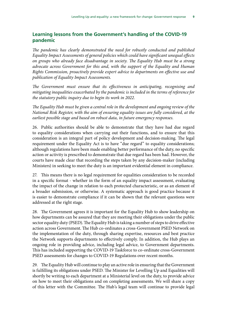# **Learning lessons from the Government's handling of the COVID-19 pandemic**

The pandemic has clearly demonstrated the need for robustly conducted and published *Equality Impact Assessments of general policies which could have significant unequal effects on groups who already face disadvantage in society. The Equality Hub must be a strong advocate across Government for this and, with the support of the Equality and Human Rights Commission, proactively provide expert advice to departments on effective use and publication of Equality Impact Assessments.*

*The Government must ensure that its effectiveness in anticipating, recognising and mitigating inequalities exacerbated by the pandemic is included in the terms of reference for the statutory public inquiry due to begin its work in 2022.*

*The Equality Hub must be given a central role in the development and ongoing review of the National Risk Register, with the aim of ensuring equality issues are fully considered, at the earliest possible stage and based on robust data, in future emergency responses.*

26. Public authorities should be able to demonstrate that they have had due regard to equality considerations when carrying out their functions, and to ensure that this consideration is an integral part of policy development and decision-making. The legal requirement under the Equality Act is to have "due regard" to equality considerations; although regulations have been made enabling better performance of the duty, no specific action or activity is prescribed to demonstrate that due regard has been had. However, the courts have made clear that recording the steps taken by any decision-maker (including Ministers) in seeking to meet the duty is an important evidential element in compliance.

27. This means there is no legal requirement for equalities consideration to be recorded in a specific format - whether in the form of an equality impact assessment, evaluating the impact of the change in relation to each protected characteristic, or as an element of a broader submission, or otherwise. A systematic approach is good practice because it is easier to demonstrate compliance if it can be shown that the relevant questions were addressed at the right stage.

28. The Government agrees it is important for the Equality Hub to show leadership on how departments can be assured that they are meeting their obligations under the public sector equality duty (PSED). The Equality Hub is taking a number of steps to drive effective action across Government. The Hub co-ordinates a cross-Government PSED Network on the implementation of the duty, through sharing expertise, resources and best practice the Network supports departments to effectively comply. In addition, the Hub plays an ongoing role in providing advice, including legal advice, to Government departments. This has included supporting the COVID-19 Taskforce to co-ordinate cross-Government PSED assessments for changes to COVID-19 Regulations over recent months.

29. The Equality Hub will continue to play an active role in ensuring that the Government is fulfilling its obligations under PSED. The Minister for Levelling Up and Equalities will shortly be writing to each department at a Ministerial level on the duty, to provide advice on how to meet their obligations and on completing assessments. We will share a copy of this letter with the Committee. The Hub's legal team will continue to provide legal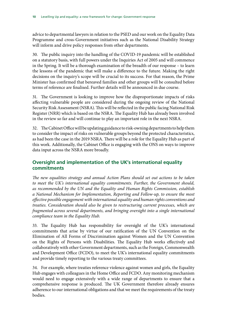advice to departmental lawyers in relation to the PSED and our work on the Equality Data Programme and cross-Government initiatives such as the National Disability Strategy will inform and drive policy responses from other departments.

30. The public inquiry into the handling of the COVID-19 pandemic will be established on a statutory basis, with full powers under the Inquiries Act of 2005 and will commence in the Spring. It will be a thorough examination of the breadth of our response – to learn the lessons of the pandemic that will make a difference to the future. Making the right decisions on the inquiry's scope will be crucial to its success. For that reason, the Prime Minister has confirmed that bereaved families and other groups will be consulted before terms of reference are finalised. Further details will be announced in due course.

31. The Government is looking to improve how the disproportionate impacts of risks affecting vulnerable people are considered during the ongoing review of the National Security Risk Assessment (NSRA). This will be reflected in the public facing National Risk Register (NRR) which is based on the NSRA. The Equality Hub has already been involved in the review so far and will continue to play an important role in the next NSRA.

32. The Cabinet Office will be updating guidance to risk-owning departments to help them to consider the impact of risks on vulnerable groups beyond the protected characteristics, as had been the case in the 2019 NSRA. There will be a role for the Equality Hub as part of this work. Additionally, the Cabinet Office is engaging with the ONS on ways to improve data input across the NSRA more broadly.

# **Oversight and implementation of the UK's international equality commitments**

*The new equalities strategy and annual Action Plans should set out actions to be taken to meet the UK's international equality commitments. Further, the Government should, as recommended by the UN and the Equality and Human Rights Commission, establish a National Mechanism for Implementation, Reporting and Follow-up, to ensure the most effective possible engagement with international equality and human rights conventions and treaties. Consideration should also be given to restructuring current processes, which are fragmented across several departments, and bringing oversight into a single international compliance team in the Equality Hub.*

33. The Equality Hub has responsibility for oversight of the UK's international commitments that arise by virtue of our ratification of the UN Convention on the Elimination of All Forms of Discrimination against Women and the UN Convention on the Rights of Persons with Disabilities. The Equality Hub works effectively and collaboratively with other Government departments, such as the Foreign, Commonwealth and Development Office (FCDO), to meet the UK's international equality commitments and provide timely reporting to the various treaty committees.

34. For example, where treaties reference violence against women and girls, the Equality Hub engages with colleagues in the Home Office and FCDO. Any monitoring mechanism would need to engage extensively with a wide range of departments to ensure that a comprehensive response is produced. The UK Government therefore already ensures adherence to our international obligations and that we meet the requirements of the treaty bodies.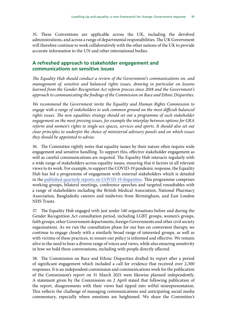35. These Conventions are applicable across the UK, including the devolved administrations, and across a range of departmental responsibilities. The UK Government will therefore continue to work collaboratively with the other nations of the UK to provide accurate information to the UN and other international bodies.

### **A refreshed approach to stakeholder engagement and communications on sensitive issues**

*The Equality Hub should conduct a review of the Government's communications on, and management of, sensitive and balanced rights issues, drawing in particular on lessons learned from the Gender Recognition Act reform process since 2018 and the Government's approach to communicating the findings of the Commission on Race and Ethnic Disparities.*

*We recommend the Government invite the Equality and Human Rights Commission to engage with a range of stakeholders to seek common ground on the most difficult balanced rights issues. The new equalities strategy should set out a programme of such stakeholder engagement on the most pressing issues, for example the interplay between options for GRA reform and women's rights to single-sex spaces, services and sports. It should also set out clear principles to underpin the choice of ministerial advisory panels and on which issues they should be appointed to advise.*

36. The Committee rightly notes that equality issues by their nature often require wide engagement and sensitive handling. To support this, effective stakeholder engagement as well as careful communications are required. The Equality Hub interacts regularly with a wide range of stakeholders across equality issues, ensuring that it factors in all relevant views to its work. For example, to support the COVID-19 pandemic response, the Equality Hub has led a programme of engagement with external stakeholders which is detailed in th[e published quarterly reports on COVID-19 disparities](https://www.gov.uk/government/collections/quarterly-reports-on-progress-to-address-covid-19-health-inequalities). This programme comprises working groups, bilateral meetings, conference speeches and targeted roundtables with a range of stakeholders including the British Medical Association, National Pharmacy Association, Bangladeshi caterers and midwives from Birmingham, and East London NHS Trusts.

37. The Equality Hub engaged with just under 140 organisations before and during the Gender Recognition Act consultation period, including LGBT groups, women's groups, faith groups, other Government departments, foreign Governments and other civil society organisations. As we run the consultation phase for our ban on conversion therapy, we continue to engage closely with a similarly broad range of interested groups, as well as with victims of these practices, to ensure our policy is informed and effective. We remain alive to the need to hear a diverse range of voices and views, while also ensuring sensitivity in how we hold these conversations, including with people directly affected.

38. The Commission on Race and Ethnic Disparities drafted its report after a period of significant engagement which included a call for evidence that received over 2,300 responses. It is an independent commission and communications work for the publication of the Commission's report on 31 March 2021 were likewise planned independently. A statement given by the Commission on 2 April stated that following publication of the report, disagreements with their views had tipped into wilful misrepresentation. This reflects the challenge of managing communications and anticipating social media commentary, especially where emotions are heightened. We share the Committee's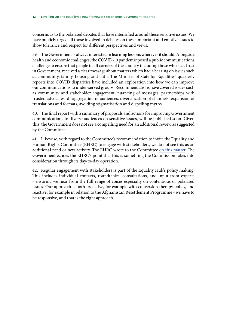concerns as to the polarised debates that have intensified around these sensitive issues. We have publicly urged all those involved in debates on these important and emotive issues to show tolerance and respect for different perspectives and views.

39. The Government is always interested in learning lessons wherever it should. Alongside health and economic challenges, the COVID-19 pandemic posed a public communications challenge to ensure that people in all corners of the country including those who lack trust in Government, received a clear message about matters which had a bearing on issues such as community, family, housing and faith. The Minister of State for Equalities' quarterly reports into COVID disparities have included an exploration into how we can improve our communications to under-served groups. Recommendations have covered issues such as community and stakeholder engagement, nuancing of messages, partnerships with trusted advocates, disaggregation of audiences, diversification of channels, expansion of translations and formats, avoiding stigmatisation and dispelling myths.

40. The final report with a summary of proposals and actions for improving Government communications to diverse audiences on sensitive issues, will be published soon. Given this, the Government does not see a compelling need for an additional review as suggested by the Committee.

41. Likewise, with regard to the Committee's recommendation to invite the Equality and Human Rights Committee (EHRC) to engage with stakeholders, we do not see this as an additional need or new activity. The EHRC wrote to the Committee [on this matter.](https://committees.parliament.uk/publications/7555/documents/79458/default/) The Government echoes the EHRC's point that this is something the Commission takes into consideration through its day-to-day operation.

42. Regular engagement with stakeholders is part of the Equality Hub's policy making. This includes individual contacts, roundtables, consultations, and input from experts - ensuring we hear from the full range of voices especially on contentious or polarised issues. Our approach is both proactive, for example with conversion therapy policy, and reactive, for example in relation to the Afghanistan Resettlement Programme - we have to be responsive, and that is the right approach.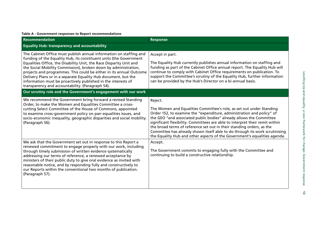#### **Table A - Government responses to Report recommendations**

| <b>Recommendation</b>                                                                                                                                                                                                                                                                                                                                                                                                                                                                                                                            | <b>Response</b>                                                                                                                                                                                                                                                                                                                                                                                                                                                                                                                                      |  |
|--------------------------------------------------------------------------------------------------------------------------------------------------------------------------------------------------------------------------------------------------------------------------------------------------------------------------------------------------------------------------------------------------------------------------------------------------------------------------------------------------------------------------------------------------|------------------------------------------------------------------------------------------------------------------------------------------------------------------------------------------------------------------------------------------------------------------------------------------------------------------------------------------------------------------------------------------------------------------------------------------------------------------------------------------------------------------------------------------------------|--|
| <b>Equality Hub: transparency and accountability</b>                                                                                                                                                                                                                                                                                                                                                                                                                                                                                             |                                                                                                                                                                                                                                                                                                                                                                                                                                                                                                                                                      |  |
| The Cabinet Office must publish annual information on staffing and<br>funding of the Equality Hub, its constituent units (the Government<br>Equalities Office, the Disability Unit, the Race Disparity Unit and<br>the Social Mobility Commission), broken down by administration,<br>projects and programmes. This could be either in its annual Outcome<br>Delivery Plans or in a separate Equality Hub document, but the<br>information must be proactively published in the interests of<br>transparency and accountability. (Paragraph 54). | Accept in part.<br>The Equality Hub currently publishes annual information on staffing and<br>funding as part of the Cabinet Office annual report. The Equality Hub will<br>continue to comply with Cabinet Office requirements on publication. To<br>support the Committee's scrutiny of the Equality Hub, further information<br>can be provided by the Hub's Director on a bi-annual basis.                                                                                                                                                       |  |
| Our scrutiny role and the Government's engagement with our work                                                                                                                                                                                                                                                                                                                                                                                                                                                                                  |                                                                                                                                                                                                                                                                                                                                                                                                                                                                                                                                                      |  |
| We recommend the Government bring forward a revised Standing<br>Order, to make the Women and Equalities Committee a cross-<br>cutting Select Committee of the House of Commons, appointed<br>to examine cross-government policy on pan-equalities issues, and<br>socio-economic inequality, geographic disparities and social mobility.<br>(Paragraph 56).                                                                                                                                                                                       | Reject.<br>The Women and Equalities Committee's role, as set out under Standing<br>Order 152, to examine the "expenditure, administration and policy" of<br>the GEO "and associated public bodies" already allows the Committee<br>significant flexibility. Committees are able to interpret their remit within<br>the broad terms of reference set out in their standing orders, as the<br>Committee has already shown itself able to do through its work scrutinising<br>the Equality Hub and other aspects of the Government's equalities agenda. |  |
| We ask that the Government set out in response to this Report a<br>renewed commitment to engage properly with our work, including<br>through timely submission of written evidence systematically<br>addressing our terms of reference, a renewed acceptance by<br>ministers of their public duty to give oral evidence as invited with<br>reasonable notice, and by responding fully and constructively to<br>our Reports within the conventional two months of publication.<br>(Paragraph 57).                                                 | Accept.<br>The Government commits to engaging fully with the Committee and<br>continuing to build a constructive relationship.                                                                                                                                                                                                                                                                                                                                                                                                                       |  |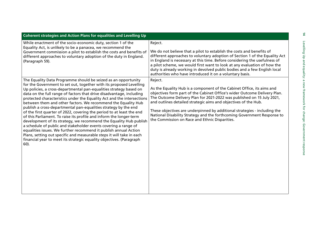| <b>Coherent strategies and Action Plans for equalities and Levelling Up</b>                                                                                                                                                                                                                                                                                                                                                                                                                                                                                                                                                                                                                                                                                                                                                                                                                                                                                                                                                |                                                                                                                                                                                                                                                                                                                                                                                                                                                                                                                       |  |
|----------------------------------------------------------------------------------------------------------------------------------------------------------------------------------------------------------------------------------------------------------------------------------------------------------------------------------------------------------------------------------------------------------------------------------------------------------------------------------------------------------------------------------------------------------------------------------------------------------------------------------------------------------------------------------------------------------------------------------------------------------------------------------------------------------------------------------------------------------------------------------------------------------------------------------------------------------------------------------------------------------------------------|-----------------------------------------------------------------------------------------------------------------------------------------------------------------------------------------------------------------------------------------------------------------------------------------------------------------------------------------------------------------------------------------------------------------------------------------------------------------------------------------------------------------------|--|
| While enactment of the socio-economic duty, section 1 of the<br>Equality Act, is unlikely to be a panacea, we recommend the<br>Government commission a pilot to establish the costs and benefits of<br>different approaches to voluntary adoption of the duty in England.<br>(Paragraph 59).                                                                                                                                                                                                                                                                                                                                                                                                                                                                                                                                                                                                                                                                                                                               | Reject.<br>We do not believe that a pilot to establish the costs and benefits of<br>different approaches to voluntary adoption of Section 1 of the Equality Act<br>in England is necessary at this time. Before considering the usefulness of<br>a pilot scheme, we would first want to look at any evaluation of how the<br>duty is already working in devolved public bodies and a few English local<br>authorities who have introduced it on a voluntary basis.                                                    |  |
| The Equality Data Programme should be seized as an opportunity<br>for the Government to set out, together with its proposed Levelling<br>Up policies, a cross-departmental pan-equalities strategy based on<br>data on the full range of factors that drive disadvantage, including<br>protected characteristics under the Equality Act and the intersections<br>between them and other factors. We recommend the Equality Hub<br>publish a cross-departmental pan-equalities strategy by the end<br>of the first quarter of 2022, covering the period to at least the end<br>of this Parliament. To raise its profile and inform the longer-term<br>development of its strategy, we recommend the Equality Hub publish<br>a schedule of public and stakeholder events covering a range of<br>equalities issues. We further recommend it publish annual Action<br>Plans, setting out specific and measurable steps it will take in each<br>financial year to meet its strategic equality objectives. (Paragraph<br>$60$ ). | Reject.<br>As the Equality Hub is a component of the Cabinet Office, its aims and<br>objectives form part of the Cabinet Office's wider Outcome Delivery Plan.<br>The Outcome Delivery Plan for 2021-2022 was published on 15 July 2021,<br>and outlines detailed strategic aims and objectives of the Hub.<br>These objectives are underpinned by additional strategies - including the<br>National Disability Strategy and the forthcoming Government Response to<br>the Commission on Race and Ethnic Disparities. |  |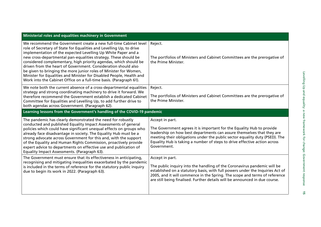| Ministerial roles and equalities machinery in Government                                                                                                                                                                                                                                                                                                                                                                                                                                                                                                                                                                              |                                                                                                                                                                                                                                                                                                                                               |  |
|---------------------------------------------------------------------------------------------------------------------------------------------------------------------------------------------------------------------------------------------------------------------------------------------------------------------------------------------------------------------------------------------------------------------------------------------------------------------------------------------------------------------------------------------------------------------------------------------------------------------------------------|-----------------------------------------------------------------------------------------------------------------------------------------------------------------------------------------------------------------------------------------------------------------------------------------------------------------------------------------------|--|
| We recommend the Government create a new full-time Cabinet level<br>role of Secretary of State for Equalities and Levelling Up, to drive<br>implementation of the expected Levelling Up White Paper and a<br>new cross-departmental pan-equalities strategy. These should be<br>considered complementary, high priority agendas, which should be<br>driven from the heart of Government. Consideration should also<br>be given to bringing the more junior roles of Minister for Women,<br>Minister for Equalities and Minister for Disabled People, Health and<br>Work into the Cabinet Office on a full-time basis. (Paragraph 61). | Reject.<br>The portfolios of Ministers and Cabinet Committees are the prerogative of<br>the Prime Minister.                                                                                                                                                                                                                                   |  |
| We note both the current absence of a cross-departmental equalities<br>strategy and strong coordinating machinery to drive it forward. We<br>therefore recommend the Government establish a dedicated Cabinet<br>Committee for Equalities and Levelling Up, to add further drive to<br>both agendas across Government. (Paragraph 62).                                                                                                                                                                                                                                                                                                | Reject.<br>The portfolios of Ministers and Cabinet Committees are the prerogative of<br>the Prime Minister.                                                                                                                                                                                                                                   |  |
| Learning lessons from the Government's handling of the COVID-19 pandemic                                                                                                                                                                                                                                                                                                                                                                                                                                                                                                                                                              |                                                                                                                                                                                                                                                                                                                                               |  |
| The pandemic has clearly demonstrated the need for robustly<br>conducted and published Equality Impact Assessments of general<br>policies which could have significant unequal effects on groups who<br>already face disadvantage in society. The Equality Hub must be a<br>strong advocate across Government for this and, with the support<br>of the Equality and Human Rights Commission, proactively provide<br>expert advice to departments on effective use and publication of<br>Equality Impact Assessments. (Paragraph 63).                                                                                                  | Accept in part.<br>The Government agrees it is important for the Equality Hub to provide<br>leadership on how best departments can assure themselves that they are<br>meeting their obligations under the public sector equality duty (PSED). The<br>Equality Hub is taking a number of steps to drive effective action across<br>Government. |  |
| The Government must ensure that its effectiveness in anticipating,<br>recognising and mitigating inequalities exacerbated by the pandemic<br>is included in the terms of reference for the statutory public inquiry<br>due to begin its work in 2022. (Paragraph 63).                                                                                                                                                                                                                                                                                                                                                                 | Accept in part.<br>The public inquiry into the handling of the Coronavirus pandemic will be<br>established on a statutory basis, with full powers under the Inquiries Act of<br>2005, and it will commence in the Spring. The scope and terms of reference<br>are still being finalised. Further details will be announced in due course.     |  |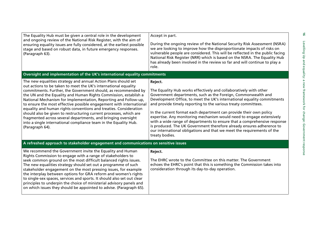| The Equality Hub must be given a central role in the development<br>and ongoing review of the National Risk Register, with the aim of<br>ensuring equality issues are fully considered, at the earliest possible<br>stage and based on robust data, in future emergency responses.<br>(Paragraph 63).                                                                                                                                                                                                                                                                                                                                                                                                                | Accept in part.<br>During the ongoing review of the National Security Risk Assessment (NSRA)<br>we are looking to improve how the disproportionate impacts of risks on<br>vulnerable people are considered. This will be reflected in the public facing<br>National Risk Register (NRR) which is based on the NSRA. The Equality Hub<br>has already been involved in the review so far and will continue to play a<br>role.                                                                                                                                                                                                                                                               |  |
|----------------------------------------------------------------------------------------------------------------------------------------------------------------------------------------------------------------------------------------------------------------------------------------------------------------------------------------------------------------------------------------------------------------------------------------------------------------------------------------------------------------------------------------------------------------------------------------------------------------------------------------------------------------------------------------------------------------------|-------------------------------------------------------------------------------------------------------------------------------------------------------------------------------------------------------------------------------------------------------------------------------------------------------------------------------------------------------------------------------------------------------------------------------------------------------------------------------------------------------------------------------------------------------------------------------------------------------------------------------------------------------------------------------------------|--|
| and equality:<br>Oversight and implementation of the UK's international equality commitments                                                                                                                                                                                                                                                                                                                                                                                                                                                                                                                                                                                                                         |                                                                                                                                                                                                                                                                                                                                                                                                                                                                                                                                                                                                                                                                                           |  |
| The new equalities strategy and annual Action Plans should set<br>out actions to be taken to meet the UK's international equality<br>commitments. Further, the Government should, as recommended by<br>the UN and the Equality and Human Rights Commission, establish a<br>National Mechanism for Implementation, Reporting and Follow-up,<br>to ensure the most effective possible engagement with international<br>equality and human rights conventions and treaties. Consideration<br>should also be given to restructuring current processes, which are<br>fragmented across several departments, and bringing oversight<br>into a single international compliance team in the Equality Hub.<br>(Paragraph 64). | Reject.<br>The Equality Hub works effectively and collaboratively with other<br>Government departments, such as the Foreign, Commonwealth and<br>Development Office, to meet the UK's international equality commitments<br>and provide timely reporting to the various treaty committees.<br>In the current format each department can provide their own policy<br>expertise. Any monitoring mechanism would need to engage extensively<br>with a wide range of departments to ensure that a comprehensive response<br>is produced. The UK Government therefore already ensures adherence to<br>our international obligations and that we meet the requirements of the<br>treaty bodies. |  |
| A refreshed approach to stakeholder engagement and communications on sensitive issues                                                                                                                                                                                                                                                                                                                                                                                                                                                                                                                                                                                                                                |                                                                                                                                                                                                                                                                                                                                                                                                                                                                                                                                                                                                                                                                                           |  |
| We recommend the Government invite the Equality and Human<br>Rights Commission to engage with a range of stakeholders to<br>seek common ground on the most difficult balanced rights issues.<br>The new equalities strategy should set out a programme of such<br>stakeholder engagement on the most pressing issues, for example<br>the interplay between options for GRA reform and women's rights<br>to single-sex spaces, services and sports. It should also set out clear<br>principles to underpin the choice of ministerial advisory panels and<br>on which issues they should be appointed to advise. (Paragraph 65).                                                                                       | Reject.<br>The EHRC wrote to the Committee on this matter. The Government<br>echoes the EHRC's point that this is something the Commission takes into<br>consideration through its day-to-day operation.                                                                                                                                                                                                                                                                                                                                                                                                                                                                                  |  |